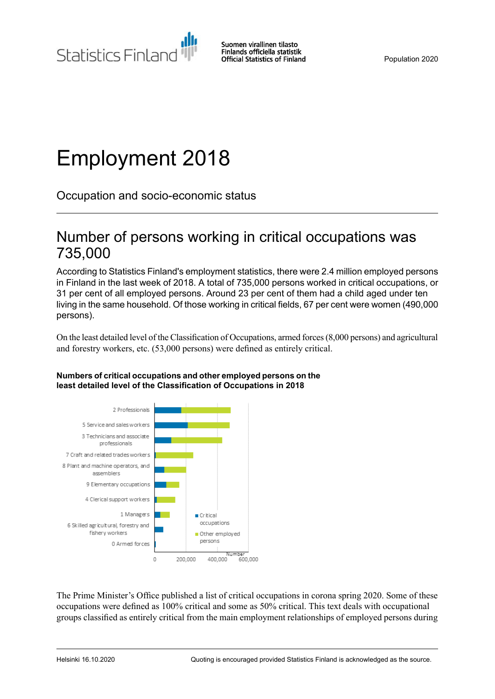Statistics Finland

Suomen virallinen tilasto Finlands officiella statistik **Official Statistics of Finland** 

Population 2020

# Employment 2018

Occupation and socio-economic status

### Number of persons working in critical occupations was 735,000

According to Statistics Finland's employment statistics, there were 2.4 million employed persons in Finland in the last week of 2018. A total of 735,000 persons worked in critical occupations, or 31 per cent of all employed persons. Around 23 per cent of them had a child aged under ten living in the same household. Of those working in critical fields, 67 per cent were women (490,000 persons).

On the least detailed level of the Classification of Occupations, armed forces(8,000 persons) and agricultural and forestry workers, etc. (53,000 persons) were defined as entirely critical.



#### **Numbers ofcritical occupationsand otheremployed persons on the least detailed level of the Classification of Occupations in 2018**

The Prime Minister's Office published a list of critical occupations in corona spring 2020. Some of these occupations were defined as 100% critical and some as 50% critical. This text deals with occupational groups classified as entirely critical from the main employment relationships of employed persons during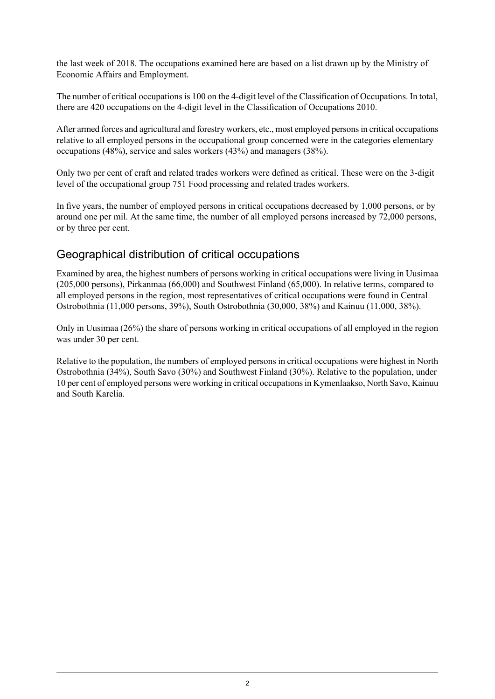the last week of 2018. The occupations examined here are based on a list drawn up by the Ministry of Economic Affairs and Employment.

The number of critical occupations is 100 on the 4-digit level of the Classification of Occupations. In total, there are 420 occupations on the 4-digit level in the Classification of Occupations 2010.

After armed forces and agricultural and forestry workers, etc., most employed personsin critical occupations relative to all employed persons in the occupational group concerned were in the categories elementary occupations (48%), service and sales workers (43%) and managers (38%).

Only two per cent of craft and related trades workers were defined as critical. These were on the 3-digit level of the occupational group 751 Food processing and related trades workers.

In five years, the number of employed persons in critical occupations decreased by 1,000 persons, or by around one per mil. At the same time, the number of all employed persons increased by 72,000 persons, or by three per cent.

### Geographical distribution of critical occupations

Examined by area, the highest numbers of persons working in critical occupations were living in Uusimaa (205,000 persons), Pirkanmaa (66,000) and Southwest Finland (65,000). In relative terms, compared to all employed persons in the region, most representatives of critical occupations were found in Central Ostrobothnia (11,000 persons, 39%), South Ostrobothnia (30,000, 38%) and Kainuu (11,000, 38%).

Only in Uusimaa (26%) the share of persons working in critical occupations of all employed in the region was under 30 per cent.

Relative to the population, the numbers of employed persons in critical occupations were highest in North Ostrobothnia (34%), South Savo (30%) and Southwest Finland (30%). Relative to the population, under 10 per cent of employed persons were working in critical occupationsin Kymenlaakso, North Savo, Kainuu and South Karelia.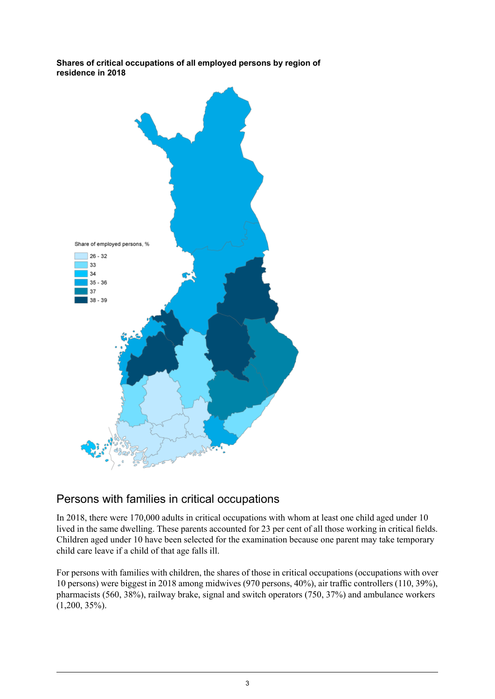**Shares of critical occupations of all employed persons by region of residence in 2018**



### Persons with families in critical occupations

In 2018, there were 170,000 adults in critical occupations with whom at least one child aged under 10 lived in the same dwelling. These parents accounted for 23 per cent of all those working in critical fields. Children aged under 10 have been selected for the examination because one parent may take temporary child care leave if a child of that age falls ill.

For persons with families with children, the shares of those in critical occupations (occupations with over 10 persons) were biggest in 2018 among midwives (970 persons, 40%), air traffic controllers (110, 39%), pharmacists (560, 38%), railway brake, signal and switch operators (750, 37%) and ambulance workers  $(1,200, 35\%)$ .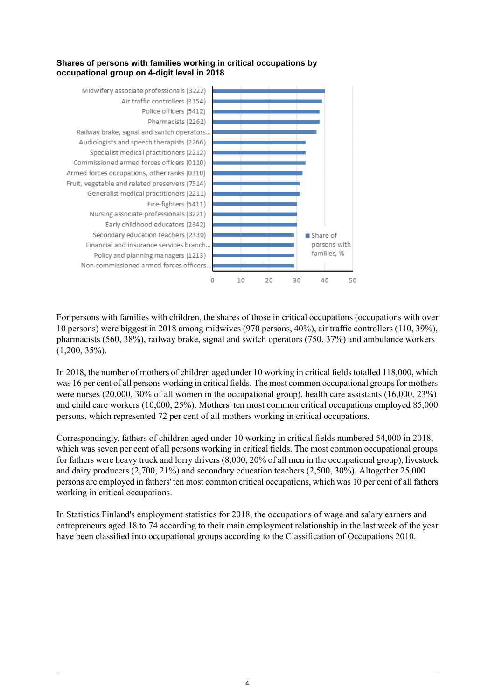#### **Shares of persons with families working in critical occupations by occupational group on 4-digit level in 2018**



For persons with families with children, the shares of those in critical occupations (occupations with over 10 persons) were biggest in 2018 among midwives (970 persons, 40%), air traffic controllers (110, 39%), pharmacists (560, 38%), railway brake, signal and switch operators (750, 37%) and ambulance workers  $(1,200, 35\%)$ .

In 2018, the number of mothers of children aged under 10 working in critical fields totalled 118,000, which was 16 per cent of all persons working in critical fields. The most common occupational groups for mothers were nurses (20,000, 30% of all women in the occupational group), health care assistants (16,000, 23%) and child care workers (10,000, 25%). Mothers' ten most common critical occupations employed 85,000 persons, which represented 72 per cent of all mothers working in critical occupations.

Correspondingly, fathers of children aged under 10 working in critical fields numbered 54,000 in 2018, which was seven per cent of all persons working in critical fields. The most common occupational groups for fathers were heavy truck and lorry drivers (8,000, 20% of all men in the occupational group), livestock and dairy producers (2,700, 21%) and secondary education teachers (2,500, 30%). Altogether 25,000 persons are employed in fathers' ten most common critical occupations, which was 10 per cent of all fathers working in critical occupations.

In Statistics Finland's employment statistics for 2018, the occupations of wage and salary earners and entrepreneurs aged 18 to 74 according to their main employment relationship in the last week of the year have been classified into occupational groups according to the Classification of Occupations 2010.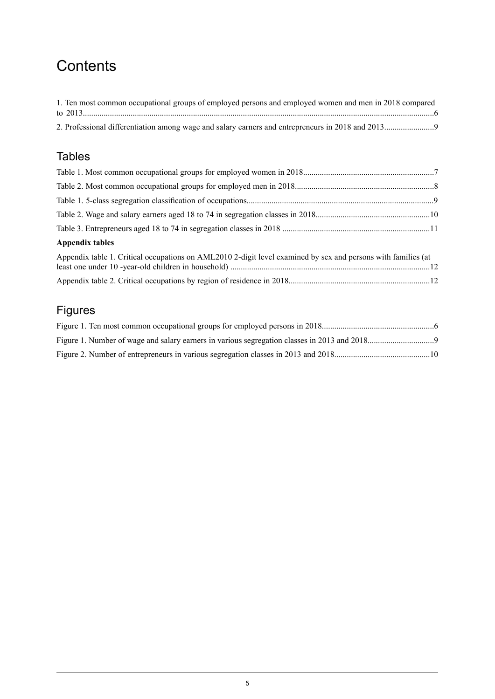# **Contents**

| 1. Ten most common occupational groups of employed persons and employed women and men in 2018 compared |  |
|--------------------------------------------------------------------------------------------------------|--|
|                                                                                                        |  |
|                                                                                                        |  |

### Tables

| <b>Appendix tables</b>                                                                                        |  |
|---------------------------------------------------------------------------------------------------------------|--|
| Appendix table 1. Critical occupations on AML2010 2-digit level examined by sex and persons with families (at |  |
|                                                                                                               |  |

Appendix table 2. Critical occupations by region of residence in [2018....................................................................12](#page-11-1)

### Figures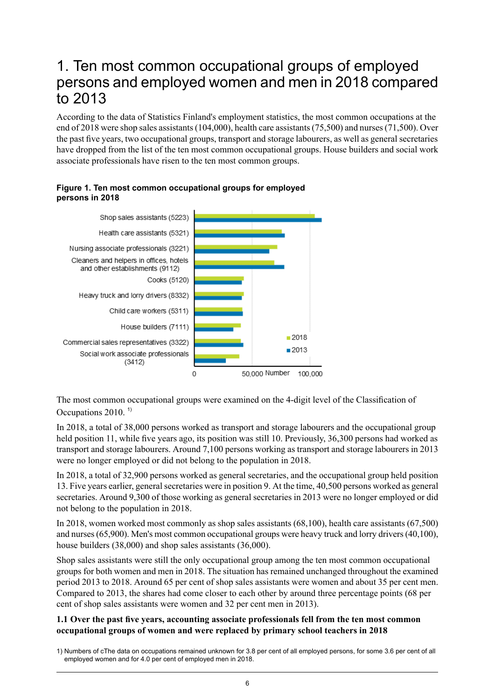### <span id="page-5-0"></span>1. Ten most common occupational groups of employed persons and employed women and men in 2018 compared to 2013

According to the data of Statistics Finland's employment statistics, the most common occupations at the end of 2018 were shop sales assistants(104,000), health care assistants(75,500) and nurses(71,500). Over the past five years, two occupational groups, transport and storage labourers, as well as general secretaries have dropped from the list of the ten most common occupational groups. House builders and social work associate professionals have risen to the ten most common groups.



#### <span id="page-5-1"></span>**Figure 1. Ten most common occupational groups for employed persons in 2018**

The most common occupational groups were examined on the 4-digit level of the Classification of Occupations 2010.<sup>1)</sup>

In 2018, a total of 38,000 persons worked as transport and storage labourers and the occupational group held position 11, while five years ago, its position was still 10. Previously, 36,300 persons had worked as transport and storage labourers. Around 7,100 persons working as transport and storage labourers in 2013 were no longer employed or did not belong to the population in 2018.

In 2018, a total of 32,900 persons worked as general secretaries, and the occupational group held position 13. Five years earlier, generalsecretaries were in position 9. At the time, 40,500 persons worked as general secretaries. Around 9,300 of those working as general secretaries in 2013 were no longer employed or did not belong to the population in 2018.

In 2018, women worked most commonly as shop sales assistants (68,100), health care assistants (67,500) and nurses(65,900). Men's most common occupational groups were heavy truck and lorry drivers(40,100), house builders (38,000) and shop sales assistants (36,000).

Shop sales assistants were still the only occupational group among the ten most common occupational groups for both women and men in 2018. The situation has remained unchanged throughout the examined period 2013 to 2018. Around 65 per cent of shop sales assistants were women and about 35 per cent men. Compared to 2013, the shares had come closer to each other by around three percentage points (68 per cent of shop sales assistants were women and 32 per cent men in 2013).

#### **1.1 Over the past five years, accounting associate professionals fell from the ten most common occupational groups of women and were replaced by primary school teachers in 2018**

<sup>1)</sup> Numbers of cThe data on occupations remained unknown for 3.8 per cent of all employed persons, for some 3.6 per cent of all employed women and for 4.0 per cent of employed men in 2018.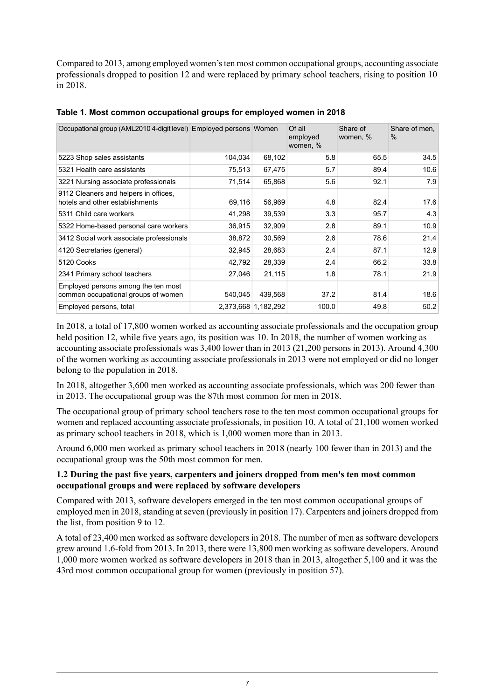Compared to 2013, among employed women'sten most common occupational groups, accounting associate professionals dropped to position 12 and were replaced by primary school teachers, rising to position 10 in 2018.

| Occupational group (AML2010 4-digit level) Employed persons Women          |         |                     | Of all<br>employed<br>women, % | Share of<br>women, % | Share of men,<br>$\%$ |
|----------------------------------------------------------------------------|---------|---------------------|--------------------------------|----------------------|-----------------------|
| 5223 Shop sales assistants                                                 | 104,034 | 68,102              | 5.8                            | 65.5                 | 34.5                  |
| 5321 Health care assistants                                                | 75,513  | 67,475              | 5.7                            | 89.4                 | 10.6                  |
| 3221 Nursing associate professionals                                       | 71,514  | 65,868              | 5.6                            | 92.1                 | 7.9                   |
| 9112 Cleaners and helpers in offices,<br>hotels and other establishments   | 69,116  | 56,969              | 4.8                            | 82.4                 | 17.6                  |
| 5311 Child care workers                                                    | 41,298  | 39,539              | 3.3                            | 95.7                 | 4.3                   |
| 5322 Home-based personal care workers                                      | 36,915  | 32,909              | 2.8                            | 89.1                 | 10.9                  |
| 3412 Social work associate professionals                                   | 38,872  | 30,569              | 2.6                            | 78.6                 | 21.4                  |
| 4120 Secretaries (general)                                                 | 32,945  | 28,683              | 2.4                            | 87.1                 | 12.9                  |
| 5120 Cooks                                                                 | 42,792  | 28,339              | 2.4                            | 66.2                 | 33.8                  |
| 2341 Primary school teachers                                               | 27,046  | 21,115              | 1.8                            | 78.1                 | 21.9                  |
| Employed persons among the ten most<br>common occupational groups of women | 540,045 | 439,568             | 37.2                           | 81.4                 | 18.6                  |
| Employed persons, total                                                    |         | 2,373,668 1,182,292 | 100.0                          | 49.8                 | 50.2                  |

#### <span id="page-6-0"></span>**Table 1. Most common occupational groups for employed women in 2018**

In 2018, a total of 17,800 women worked as accounting associate professionals and the occupation group held position 12, while five years ago, its position was 10. In 2018, the number of women working as accounting associate professionals was 3,400 lower than in 2013 (21,200 persons in 2013). Around 4,300 of the women working as accounting associate professionals in 2013 were not employed or did no longer belong to the population in 2018.

In 2018, altogether 3,600 men worked as accounting associate professionals, which was 200 fewer than in 2013. The occupational group was the 87th most common for men in 2018.

The occupational group of primary school teachers rose to the ten most common occupational groups for women and replaced accounting associate professionals, in position 10. A total of 21,100 women worked as primary school teachers in 2018, which is 1,000 women more than in 2013.

Around 6,000 men worked as primary school teachers in 2018 (nearly 100 fewer than in 2013) and the occupational group was the 50th most common for men.

#### **1.2 During the past five years, carpenters and joiners dropped from men's ten most common occupational groups and were replaced by software developers**

Compared with 2013, software developers emerged in the ten most common occupational groups of employed men in 2018, standing at seven (previously in position 17). Carpenters and joiners dropped from the list, from position 9 to 12.

A total of 23,400 men worked as software developers in 2018. The number of men as software developers grew around 1.6-fold from 2013. In 2013, there were 13,800 men working assoftware developers. Around 1,000 more women worked as software developers in 2018 than in 2013, altogether 5,100 and it was the 43rd most common occupational group for women (previously in position 57).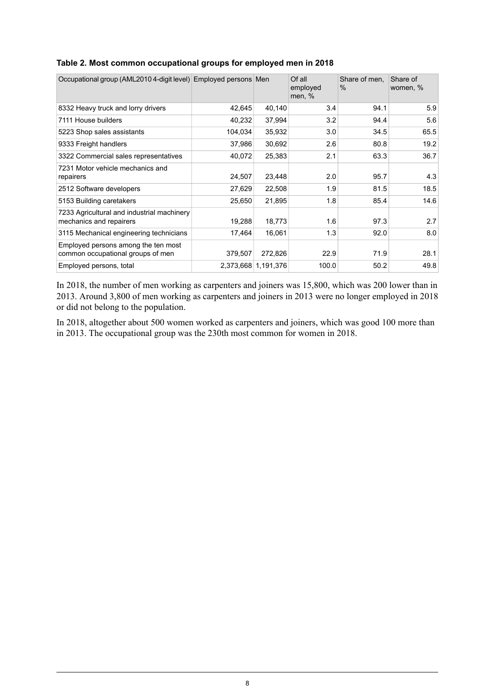| Occupational group (AML2010 4-digit level) Employed persons Men          |         |                     | Of all<br>employed<br>men, % | Share of men.<br>$\%$ | Share of<br>women, % |
|--------------------------------------------------------------------------|---------|---------------------|------------------------------|-----------------------|----------------------|
| 8332 Heavy truck and lorry drivers                                       | 42,645  | 40,140              | 3.4                          | 94.1                  | 5.9                  |
| 7111 House builders                                                      | 40,232  | 37,994              | 3.2                          | 94.4                  | 5.6                  |
| 5223 Shop sales assistants                                               | 104,034 | 35,932              | 3.0                          | 34.5                  | 65.5                 |
| 9333 Freight handlers                                                    | 37,986  | 30,692              | 2.6                          | 80.8                  | 19.2                 |
| 3322 Commercial sales representatives                                    | 40,072  | 25,383              | 2.1                          | 63.3                  | 36.7                 |
| 7231 Motor vehicle mechanics and<br>repairers                            | 24,507  | 23,448              | 2.0                          | 95.7                  | 4.3                  |
| 2512 Software developers                                                 | 27,629  | 22,508              | 1.9                          | 81.5                  | 18.5                 |
| 5153 Building caretakers                                                 | 25,650  | 21,895              | 1.8                          | 85.4                  | 14.6                 |
| 7233 Agricultural and industrial machinery<br>mechanics and repairers    | 19,288  | 18,773              | 1.6                          | 97.3                  | 2.7                  |
| 3115 Mechanical engineering technicians                                  | 17,464  | 16,061              | 1.3                          | 92.0                  | 8.0                  |
| Employed persons among the ten most<br>common occupational groups of men | 379,507 | 272,826             | 22.9                         | 71.9                  | 28.1                 |
| Employed persons, total                                                  |         | 2,373,668 1,191,376 | 100.0                        | 50.2                  | 49.8                 |

#### <span id="page-7-0"></span>**Table 2. Most common occupational groups for employed men in 2018**

In 2018, the number of men working as carpenters and joiners was 15,800, which was 200 lower than in 2013. Around 3,800 of men working as carpenters and joiners in 2013 were no longer employed in 2018 or did not belong to the population.

In 2018, altogether about 500 women worked as carpenters and joiners, which was good 100 more than in 2013. The occupational group was the 230th most common for women in 2018.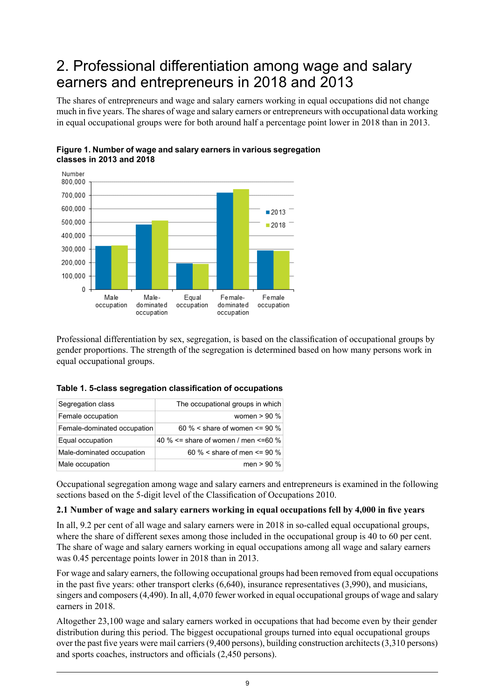## <span id="page-8-0"></span>2. Professional differentiation among wage and salary earners and entrepreneurs in 2018 and 2013

The shares of entrepreneurs and wage and salary earners working in equal occupations did not change much in five years. The shares of wage and salary earners or entrepreneurs with occupational data working in equal occupational groups were for both around half a percentage point lower in 2018 than in 2013.



<span id="page-8-2"></span>

<span id="page-8-1"></span>Professional differentiation by sex, segregation, is based on the classification of occupational groups by gender proportions. The strength of the segregation is determined based on how many persons work in equal occupational groups.

| Segregation class           | The occupational groups in which     |
|-----------------------------|--------------------------------------|
| Female occupation           | women $> 90\%$                       |
| Female-dominated occupation | 60 % < share of women $\leq$ 90 %    |
| Equal occupation            | 40 % <= share of women / men <= 60 % |
| Male-dominated occupation   | 60 % < share of men <= 90 %          |
| Male occupation             | men $> 90\%$                         |

|  |  | Table 1. 5-class segregation classification of occupations |  |
|--|--|------------------------------------------------------------|--|
|  |  |                                                            |  |

Occupational segregation among wage and salary earners and entrepreneurs is examined in the following sections based on the 5-digit level of the Classification of Occupations 2010.

#### **2.1 Number of wage and salary earners working in equal occupations fell by 4,000 in five years**

In all, 9.2 per cent of all wage and salary earners were in 2018 in so-called equal occupational groups, where the share of different sexes among those included in the occupational group is 40 to 60 per cent. The share of wage and salary earners working in equal occupations among all wage and salary earners was 0.45 percentage points lower in 2018 than in 2013.

For wage and salary earners, the following occupational groups had been removed from equal occupations in the past five years: other transport clerks (6,640), insurance representatives (3,990), and musicians, singers and composers(4,490). In all, 4,070 fewer worked in equal occupational groups of wage and salary earners in 2018.

Altogether 23,100 wage and salary earners worked in occupations that had become even by their gender distribution during this period. The biggest occupational groups turned into equal occupational groups over the past five years were mail carriers (9,400 persons), building construction architects (3,310 persons) and sports coaches, instructors and officials (2,450 persons).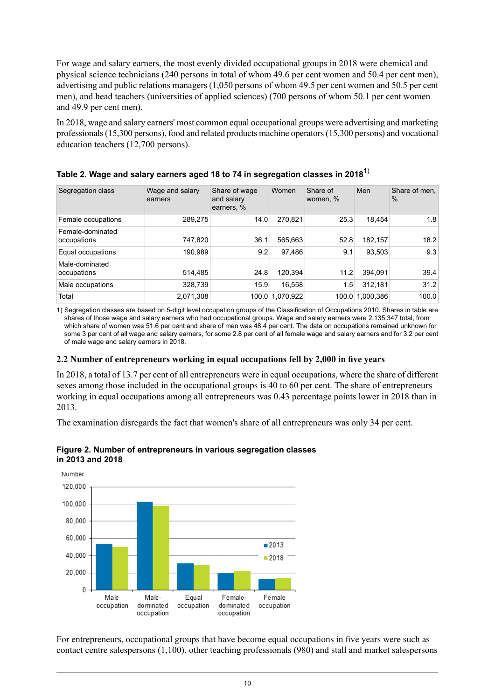For wage and salary earners, the most evenly divided occupational groups in 2018 were chemical and physical science technicians (240 persons in total of whom 49.6 per cent women and 50.4 per cent men), advertising and public relations managers (1,050 persons of whom 49.5 per cent women and 50.5 per cent men), and head teachers (universities of applied sciences) (700 persons of whom 50.1 per cent women and 49.9 per cent men).

In 2018, wage and salary earners' most common equal occupational groups were advertising and marketing professionals (15,300 persons), food and related products machine operators (15,300 persons) and vocational education teachers (12,700 persons).

| Segregation class               | Wage and salary<br>earners | Share of wage<br>and salary<br>earners, % | Women           | Share of<br>women, % | Men       | Share of men,<br>$\%$ |
|---------------------------------|----------------------------|-------------------------------------------|-----------------|----------------------|-----------|-----------------------|
| Female occupations              | 289,275                    | 14.0                                      | 270,821         | 25.3                 | 18.454    | 1.8                   |
| Female-dominated<br>occupations | 747,820                    | 36.1                                      | 565,663         | 52.8                 | 182,157   | 18.2                  |
| Equal occupations               | 190,989                    | 9.2                                       | 97.486          | 9.1                  | 93,503    | 9.3                   |
| Male-dominated<br>occupations   | 514,485                    | 24.8                                      | 120,394         | 11.2                 | 394,091   | 39.4                  |
| Male occupations                | 328,739                    | 15.9                                      | 16,558          | 1.5                  | 312,181   | 31.2                  |
| Total                           | 2,071,308                  |                                           | 100.0 1,070,922 | 100.0                | 1,000,386 | 100.0                 |

<span id="page-9-0"></span>

|  | Table 2. Wage and salary earners aged 18 to 74 in segregation classes in 2018 $^{\rm 1)}$ |  |
|--|-------------------------------------------------------------------------------------------|--|
|  |                                                                                           |  |
|  |                                                                                           |  |

1) Segregation classes are based on 5-digit level occupation groups of the Classification of Occupations 2010. Shares in table are shares of those wage and salary earners who had occupational groups. Wage and salary earners were 2,135,347 total, from which share of women was 51.6 per cent and share of men was 48.4 per cent. The data on occupations remained unknown for some 3 per cent of all wage and salary earners, for some 2.8 per cent of all female wage and salary earners and for 3.2 per cent of male wage and salary earners in 2018.

#### **2.2 Number of entrepreneurs working in equal occupations fell by 2,000 in five years**

In 2018, a total of 13.7 per cent of all entrepreneurs were in equal occupations, where the share of different sexes among those included in the occupational groups is 40 to 60 per cent. The share of entrepreneurs working in equal occupations among all entrepreneurs was 0.43 percentage points lower in 2018 than in 2013.

<span id="page-9-1"></span>The examination disregards the fact that women's share of all entrepreneurs was only 34 per cent.



#### **Figure 2. Number of entrepreneurs in various segregation classes in 2013 and 2018**

For entrepreneurs, occupational groups that have become equal occupations in five years were such as contact centre salespersons (1,100), other teaching professionals (980) and stall and market salespersons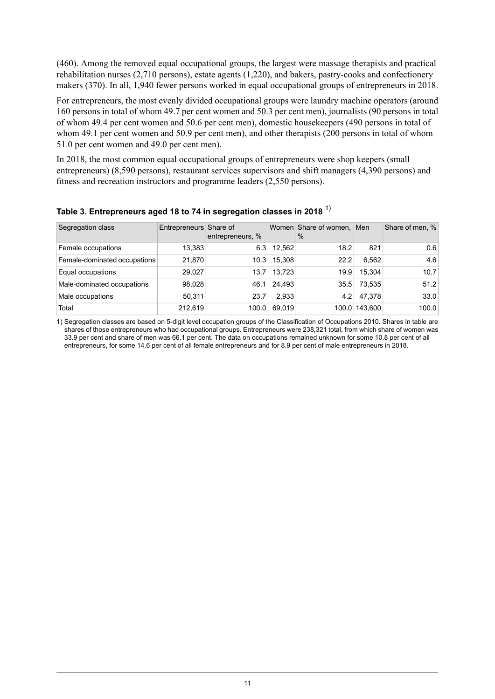(460). Among the removed equal occupational groups, the largest were massage therapists and practical rehabilitation nurses (2,710 persons), estate agents (1,220), and bakers, pastry-cooks and confectionery makers (370). In all, 1,940 fewer persons worked in equal occupational groups of entrepreneurs in 2018.

For entrepreneurs, the most evenly divided occupational groups were laundry machine operators (around 160 persons in total of whom 49.7 per cent women and 50.3 per cent men), journalists (90 persons in total of whom 49.4 per cent women and 50.6 per cent men), domestic housekeepers (490 persons in total of whom 49.1 per cent women and 50.9 per cent men), and other therapists (200 persons in total of whom 51.0 per cent women and 49.0 per cent men).

In 2018, the most common equal occupational groups of entrepreneurs were shop keepers (small entrepreneurs) (8,590 persons), restaurant services supervisors and shift managers (4,390 persons) and fitness and recreation instructors and programme leaders (2,550 persons).

| Segregation class            | Entrepreneurs Share of | entrepreneurs, % |        | Women Share of women, Men<br>$\frac{0}{0}$ |               | Share of men, % |
|------------------------------|------------------------|------------------|--------|--------------------------------------------|---------------|-----------------|
| Female occupations           | 13.383                 | 6.3              | 12,562 | 18.2                                       | 821           | 0.6             |
| Female-dominated occupations | 21,870                 | 10.3             | 15.308 | 22.2                                       | 6.562         | 4.6             |
| Equal occupations            | 29,027                 | 13.7             | 13.723 | 19.9                                       | 15.304        | 10.7            |
| Male-dominated occupations   | 98,028                 | 46.1             | 24.493 | 35.5                                       | 73.535        | 51.2            |
| Male occupations             | 50.311                 | 23.7             | 2.933  | 4.2                                        | 47.378        | 33.0            |
| Total                        | 212.619                | 100.0            | 69.019 |                                            | 100.0 143.600 | 100.0           |

#### <span id="page-10-0"></span>**Table 3. Entrepreneurs aged 18 to 74 in segregation classes in 2018** 1)

1) Segregation classes are based on 5-digit level occupation groups of the Classification of Occupations 2010. Shares in table are shares of those entrepreneurs who had occupational groups. Entrepreneurs were 238,321 total, from which share of women was 33.9 per cent and share of men was 66.1 per cent. The data on occupations remained unknown for some 10.8 per cent of all entrepreneurs, for some 14.6 per cent of all female entrepreneurs and for 8.9 per cent of male entrepreneurs in 2018.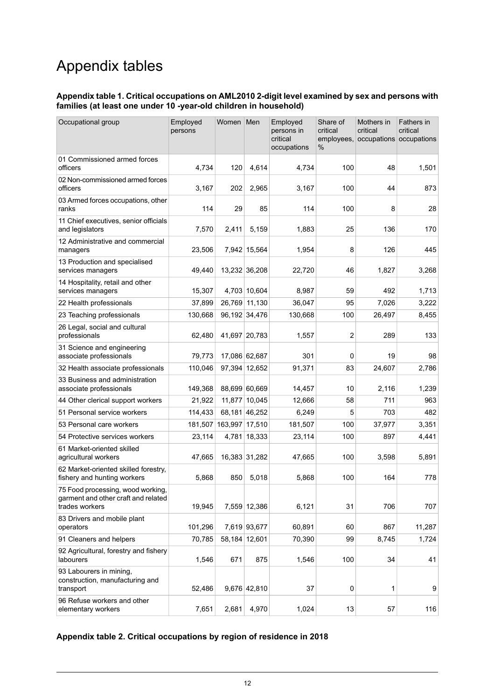# Appendix tables

#### <span id="page-11-0"></span>**Appendix table 1. Critical occupations on AML2010 2-digit level examined by sex and persons with families (at least one under 10 -year-old children in household)**

| Occupational group                                                                         | Employed<br>persons | Women                  | Men           | Employed<br>persons in<br>critical<br>occupations | Share of<br>critical<br>employees,<br>% | Mothers in<br>critical<br>occupations occupations | Fathers in<br>critical |
|--------------------------------------------------------------------------------------------|---------------------|------------------------|---------------|---------------------------------------------------|-----------------------------------------|---------------------------------------------------|------------------------|
| 01 Commissioned armed forces<br>officers                                                   | 4,734               | 120                    | 4.614         | 4,734                                             | 100                                     | 48                                                | 1,501                  |
| 02 Non-commissioned armed forces<br>officers                                               | 3,167               | 202                    | 2,965         | 3,167                                             | 100                                     | 44                                                | 873                    |
| 03 Armed forces occupations, other<br>ranks                                                | 114                 | 29                     | 85            | 114                                               | 100                                     | 8                                                 | 28                     |
| 11 Chief executives, senior officials<br>and legislators                                   | 7,570               | 2,411                  | 5,159         | 1,883                                             | 25                                      | 136                                               | 170                    |
| 12 Administrative and commercial<br>managers                                               | 23,506              |                        | 7,942 15,564  | 1,954                                             | 8                                       | 126                                               | 445                    |
| 13 Production and specialised<br>services managers                                         | 49,440              |                        | 13,232 36,208 | 22,720                                            | 46                                      | 1,827                                             | 3,268                  |
| 14 Hospitality, retail and other<br>services managers                                      | 15,307              |                        | 4,703 10,604  | 8,987                                             | 59                                      | 492                                               | 1,713                  |
| 22 Health professionals                                                                    | 37,899              | 26,769 11,130          |               | 36,047                                            | 95                                      | 7,026                                             | 3,222                  |
| 23 Teaching professionals                                                                  | 130,668             | 96,192 34,476          |               | 130,668                                           | 100                                     | 26,497                                            | 8,455                  |
| 26 Legal, social and cultural<br>professionals                                             | 62,480              | 41,697 20,783          |               | 1,557                                             | 2                                       | 289                                               | 133                    |
| 31 Science and engineering<br>associate professionals                                      | 79,773              | 17,086 62,687          |               | 301                                               | 0                                       | 19                                                | 98                     |
| 32 Health associate professionals                                                          | 110,046             | 97,394 12,652          |               | 91,371                                            | 83                                      | 24,607                                            | 2,786                  |
| 33 Business and administration<br>associate professionals                                  | 149,368             | 88,699 60,669          |               | 14,457                                            | 10                                      | 2,116                                             | 1,239                  |
| 44 Other clerical support workers                                                          | 21,922              |                        | 11,877 10,045 | 12,666                                            | 58                                      | 711                                               | 963                    |
| 51 Personal service workers                                                                | 114,433             | 68,181 46,252          |               | 6,249                                             | 5                                       | 703                                               | 482                    |
| 53 Personal care workers                                                                   |                     | 181,507 163,997 17,510 |               | 181,507                                           | 100                                     | 37,977                                            | 3,351                  |
| 54 Protective services workers                                                             | 23,114              |                        | 4,781 18,333  | 23,114                                            | 100                                     | 897                                               | 4,441                  |
| 61 Market-oriented skilled<br>agricultural workers                                         | 47,665              |                        | 16,383 31,282 | 47,665                                            | 100                                     | 3,598                                             | 5,891                  |
| 62 Market-oriented skilled forestry,<br>fishery and hunting workers                        | 5,868               | 850                    | 5,018         | 5,868                                             | 100                                     | 164                                               | 778                    |
| 75 Food processing, wood working,<br>garment and other craft and related<br>trades workers | 19,945              |                        | 7,559 12,386  | 6,121                                             | 31                                      | 706                                               | 707                    |
| 83 Drivers and mobile plant<br>operators                                                   | 101,296             |                        | 7,619 93,677  | 60,891                                            | 60                                      | 867                                               | 11,287                 |
| 91 Cleaners and helpers                                                                    | 70,785              | 58,184 12,601          |               | 70,390                                            | 99                                      | 8,745                                             | 1,724                  |
| 92 Agricultural, forestry and fishery<br>labourers                                         | 1,546               | 671                    | 875           | 1,546                                             | 100                                     | 34                                                | 41                     |
| 93 Labourers in mining,<br>construction, manufacturing and<br>transport                    | 52,486              |                        | 9,676 42,810  | 37                                                | $\mathbf 0$                             | 1                                                 | 9                      |
| 96 Refuse workers and other<br>elementary workers                                          | 7,651               | 2,681                  | 4,970         | 1,024                                             | 13                                      | 57                                                | 116                    |

#### <span id="page-11-1"></span>**Appendix table 2. Critical occupations by region of residence in 2018**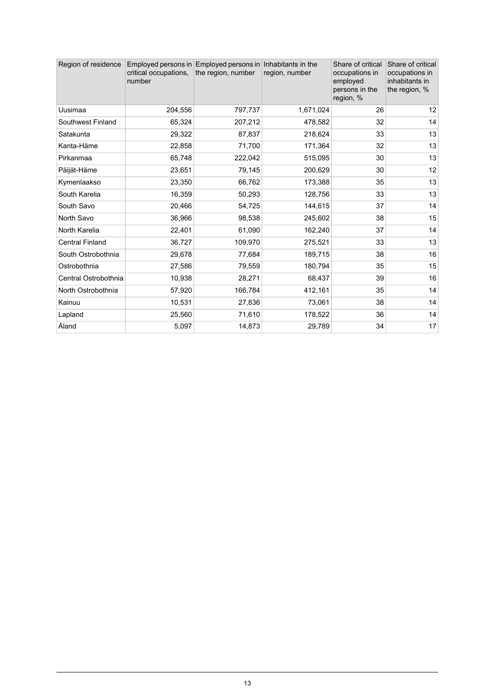| Region of residence    | critical occupations,<br>number | Employed persons in Employed persons in Inhabitants in the<br>the region, number | region, number | Share of critical<br>occupations in<br>employed<br>persons in the<br>region, % | Share of critical<br>occupations in<br>inhabitants in<br>the region, % |
|------------------------|---------------------------------|----------------------------------------------------------------------------------|----------------|--------------------------------------------------------------------------------|------------------------------------------------------------------------|
| Uusimaa                | 204,556                         | 797,737                                                                          | 1,671,024      | 26                                                                             | 12                                                                     |
| Southwest Finland      | 65,324                          | 207,212                                                                          | 478,582        | 32                                                                             | 14                                                                     |
| Satakunta              | 29,322                          | 87,837                                                                           | 218,624        | 33                                                                             | 13                                                                     |
| Kanta-Häme             | 22,858                          | 71,700                                                                           | 171,364        | 32                                                                             | 13                                                                     |
| Pirkanmaa              | 65,748                          | 222,042                                                                          | 515,095        | 30                                                                             | 13                                                                     |
| Päijät-Häme            | 23,651                          | 79,145                                                                           | 200,629        | 30                                                                             | 12                                                                     |
| Kymenlaakso            | 23,350                          | 66,762                                                                           | 173,388        | 35                                                                             | 13                                                                     |
| South Karelia          | 16,359                          | 50,293                                                                           | 128,756        | 33                                                                             | 13                                                                     |
| South Savo             | 20,466                          | 54,725                                                                           | 144,615        | 37                                                                             | 14                                                                     |
| North Savo             | 36,966                          | 98,538                                                                           | 245,602        | 38                                                                             | 15                                                                     |
| North Karelia          | 22,401                          | 61,090                                                                           | 162,240        | 37                                                                             | 14                                                                     |
| <b>Central Finland</b> | 36,727                          | 109,970                                                                          | 275,521        | 33                                                                             | 13                                                                     |
| South Ostrobothnia     | 29,678                          | 77,684                                                                           | 189,715        | 38                                                                             | 16                                                                     |
| Ostrobothnia           | 27,586                          | 79,559                                                                           | 180,794        | 35                                                                             | 15                                                                     |
| Central Ostrobothnia   | 10,938                          | 28,271                                                                           | 68,437         | 39                                                                             | 16                                                                     |
| North Ostrobothnia     | 57,920                          | 166,784                                                                          | 412,161        | 35                                                                             | 14                                                                     |
| Kainuu                 | 10,531                          | 27,836                                                                           | 73,061         | 38                                                                             | 14                                                                     |
| Lapland                | 25,560                          | 71,610                                                                           | 178,522        | 36                                                                             | 14                                                                     |
| Åland                  | 5,097                           | 14,873                                                                           | 29,789         | 34                                                                             | 17                                                                     |